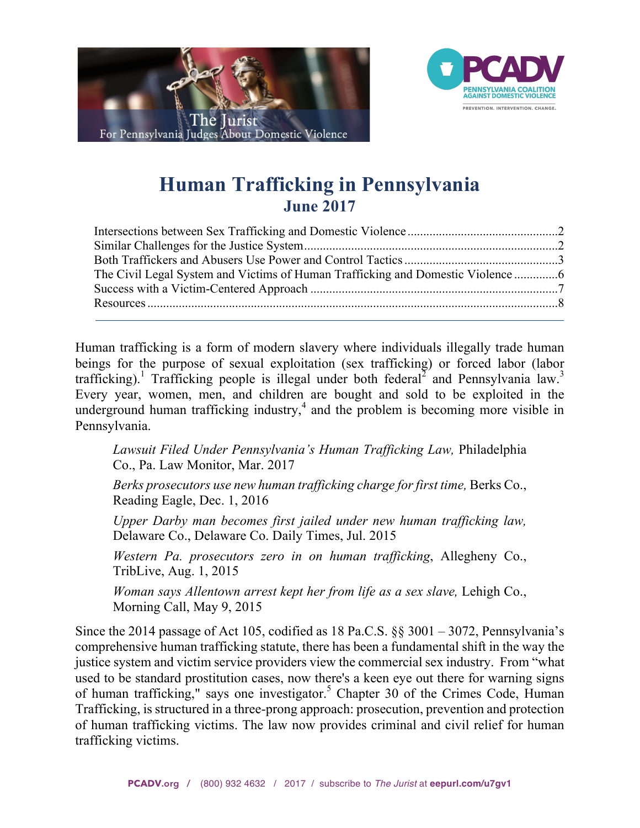



# **Human Trafficking in Pennsylvania June 2017**

| The Civil Legal System and Victims of Human Trafficking and Domestic Violence |  |
|-------------------------------------------------------------------------------|--|
|                                                                               |  |
|                                                                               |  |
|                                                                               |  |

Human trafficking is a form of modern slavery where individuals illegally trade human beings for the purpose of sexual exploitation (sex trafficking) or forced labor (labor trafficking).<sup>1</sup> Trafficking people is illegal under both federal<sup>2</sup> and Pennsylvania law.<sup>3</sup> Every year, women, men, and children are bought and sold to be exploited in the underground human trafficking industry,<sup>4</sup> and the problem is becoming more visible in Pennsylvania.

*[Lawsuit Filed Under Pennsylvania's Human Trafficking Law,](http://palawblog.stark-stark.com/2017/03/articles/human-trafficking/lawsuit-pennsylvania-human-trafficking-law/)* Philadelphia Co., Pa. Law Monitor, Mar. 2017

*[Berks prosecutors use new human trafficking charge for first time,](http://www.readingeagle.com/news/article/berks-prosecutors-use-new-human-trafficking-charge-for-first-time)* Berks Co., Reading Eagle, Dec. 1, 2016

*[Upper Darby man becomes first jailed under new human trafficking law,](http://www.delcotimes.com/article/DC/20150710/NEWS/150719962)* Delaware Co., Delaware Co. Daily Times, Jul. 2015

*[Western Pa. prosecutors zero in on human trafficking](http://triblive.com/news/adminpage/8795613-74/trafficking-victims-human)*, Allegheny Co., TribLive, Aug. 1, 2015

*[Woman says Allentown arrest kept her from life as a sex slave,](http://www.mcall.com/news/local/mc-lehigh-valley-sex-trafficking-20150509-story.html)* Lehigh Co., Morning Call, May 9, 2015

Since the 2014 passage of Act 105, codified as 18 Pa.C.S. §§ 3001 – 3072, Pennsylvania's comprehensive human trafficking statute, there has been a fundamental shift in the way the justice system and victim service providers view the commercial sex industry. From "what used to be standard prostitution cases, now there's a keen eye out there for warning signs of human trafficking," says one investigator.<sup>5</sup> Chapter 30 of the Crimes Code, Human Trafficking, is structured in a three-prong approach: prosecution, prevention and protection of human trafficking victims. The law now provides criminal and civil relief for human trafficking victims.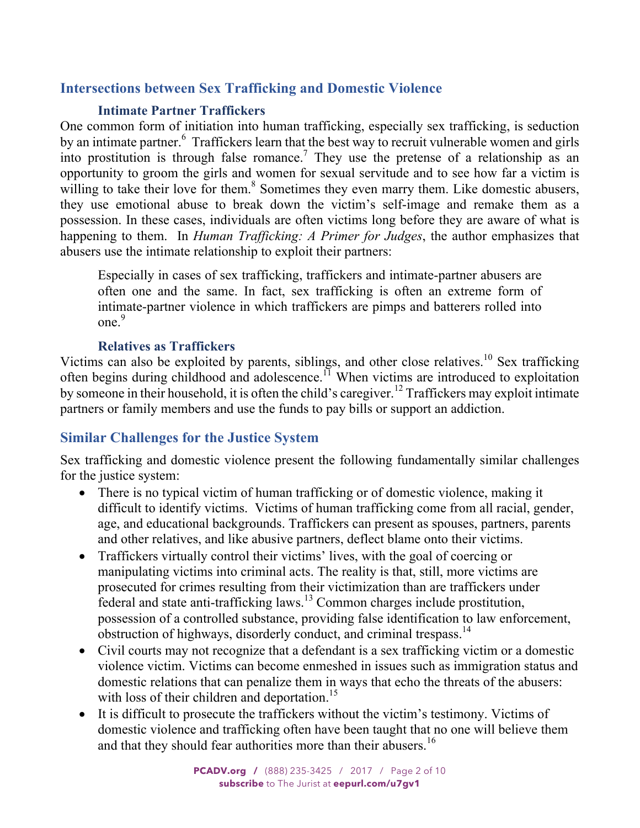# <span id="page-1-0"></span>**Intersections between Sex Trafficking and Domestic Violence**

# **Intimate Partner Traffickers**

One common form of initiation into human trafficking, especially sex trafficking, is seduction by an intimate partner.<sup>6</sup> Traffickers learn that the best way to recruit vulnerable women and girls into prostitution is through false romance.<sup>7</sup> They use the pretense of a relationship as an opportunity to groom the girls and women for sexual servitude and to see how far a victim is willing to take their love for them.<sup>8</sup> Sometimes they even marry them. Like domestic abusers, they use emotional abuse to break down the victim's self-image and remake them as a possession. In these cases, individuals are often victims long before they are aware of what is happening to them. In *Human Trafficking: A Primer for Judges*, the author emphasizes that abusers use the intimate relationship to exploit their partners:

Especially in cases of sex trafficking, traffickers and intimate-partner abusers are often one and the same. In fact, sex trafficking is often an extreme form of intimate-partner violence in which traffickers are pimps and batterers rolled into  $one<sup>9</sup>$ 

### **Relatives as Traffickers**

Victims can also be exploited by parents, siblings, and other close relatives.<sup>10</sup> Sex trafficking often begins during childhood and adolescence.<sup>11</sup> When victims are introduced to exploitation by someone in their household, it is often the child's caregiver.<sup>12</sup> Traffickers may exploit intimate partners or family members and use the funds to pay bills or support an addiction.

# **Similar Challenges for the Justice System**

Sex trafficking and domestic violence present the following fundamentally similar challenges for the justice system:

- There is no typical victim of human trafficking or of domestic violence, making it difficult to identify victims. Victims of human trafficking come from all racial, gender, age, and educational backgrounds. Traffickers can present as spouses, partners, parents and other relatives, and like abusive partners, deflect blame onto their victims.
- Traffickers virtually control their victims' lives, with the goal of coercing or manipulating victims into criminal acts. The reality is that, still, more victims are prosecuted for crimes resulting from their victimization than are traffickers under federal and state anti-trafficking laws.<sup>13</sup> Common charges include prostitution, possession of a controlled substance, providing false identification to law enforcement, obstruction of highways, disorderly conduct, and criminal trespass.<sup>14</sup>
- Civil courts may not recognize that a defendant is a sex trafficking victim or a domestic violence victim. Victims can become enmeshed in issues such as immigration status and domestic relations that can penalize them in ways that echo the threats of the abusers: with loss of their children and deportation.<sup>15</sup>
- It is difficult to prosecute the traffickers without the victim's testimony. Victims of domestic violence and trafficking often have been taught that no one will believe them and that they should fear authorities more than their abusers.<sup>16</sup>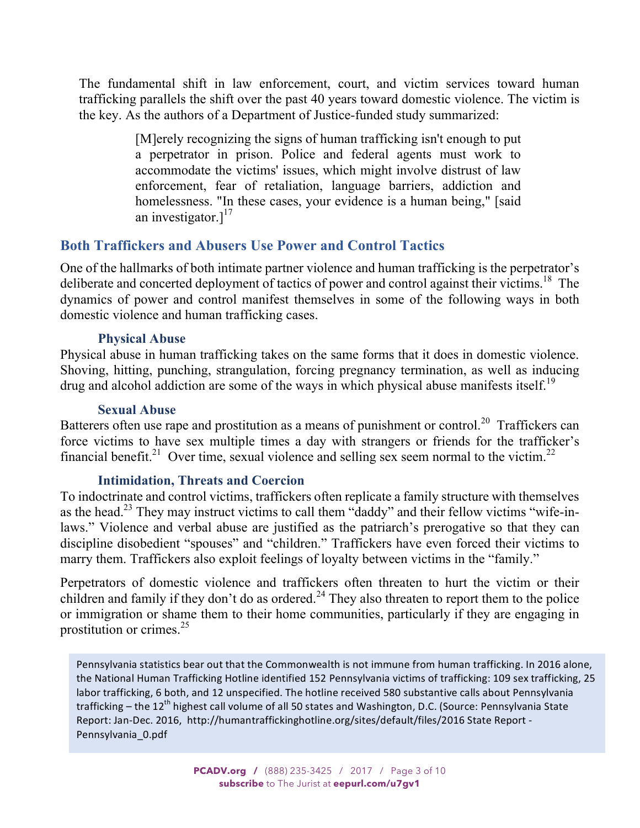<span id="page-2-0"></span>The fundamental shift in law enforcement, court, and victim services toward human trafficking parallels the shift over the past 40 years toward domestic violence. The victim is the key. As the authors of a Department of Justice-funded study summarized:

> [M]erely recognizing the signs of human trafficking isn't enough to put a perpetrator in prison. Police and federal agents must work to accommodate the victims' issues, which might involve distrust of law enforcement, fear of retaliation, language barriers, addiction and homelessness. "In these cases, your evidence is a human being," [said] an investigator. $]^{17}$

# **Both Traffickers and Abusers Use Power and Control Tactics**

One of the hallmarks of both intimate partner violence and human trafficking is the perpetrator's deliberate and concerted deployment of tactics of power and control against their victims.<sup>18</sup> The dynamics of power and control manifest themselves in some of the following ways in both domestic violence and human trafficking cases.

### **Physical Abuse**

Physical abuse in human trafficking takes on the same forms that it does in domestic violence. Shoving, hitting, punching, strangulation, forcing pregnancy termination, as well as inducing drug and alcohol addiction are some of the ways in which physical abuse manifests itself.<sup>19</sup>

### **Sexual Abuse**

Batterers often use rape and prostitution as a means of punishment or control.<sup>20</sup> Traffickers can force victims to have sex multiple times a day with strangers or friends for the trafficker's financial benefit.<sup>21</sup> Over time, sexual violence and selling sex seem normal to the victim.<sup>22</sup>

# **Intimidation, Threats and Coercion**

To indoctrinate and control victims, traffickers often replicate a family structure with themselves as the head.<sup>23</sup> They may instruct victims to call them "daddy" and their fellow victims "wife-inlaws." Violence and verbal abuse are justified as the patriarch's prerogative so that they can discipline disobedient "spouses" and "children." Traffickers have even forced their victims to marry them. Traffickers also exploit feelings of loyalty between victims in the "family."

Perpetrators of domestic violence and traffickers often threaten to hurt the victim or their children and family if they don't do as ordered.<sup>24</sup> They also threaten to report them to the police or immigration or shame them to their home communities, particularly if they are engaging in prostitution or crimes. $^{25}$ 

Pennsylvania statistics bear out that the Commonwealth is not immune from human trafficking. In 2016 alone, the National Human Trafficking Hotline identified 152 Pennsylvania victims of trafficking: 109 sex trafficking, 25 labor trafficking, 6 both, and 12 unspecified. The hotline received 580 substantive calls about Pennsylvania trafficking – the 12<sup>th</sup> highest call volume of all 50 states and Washington, D.C. (Source: Pennsylvania State Report: Jan-Dec. 2016, http://humantraffickinghotline.org/sites/default/files/2016 State Report -Pennsylvania\_0.pdf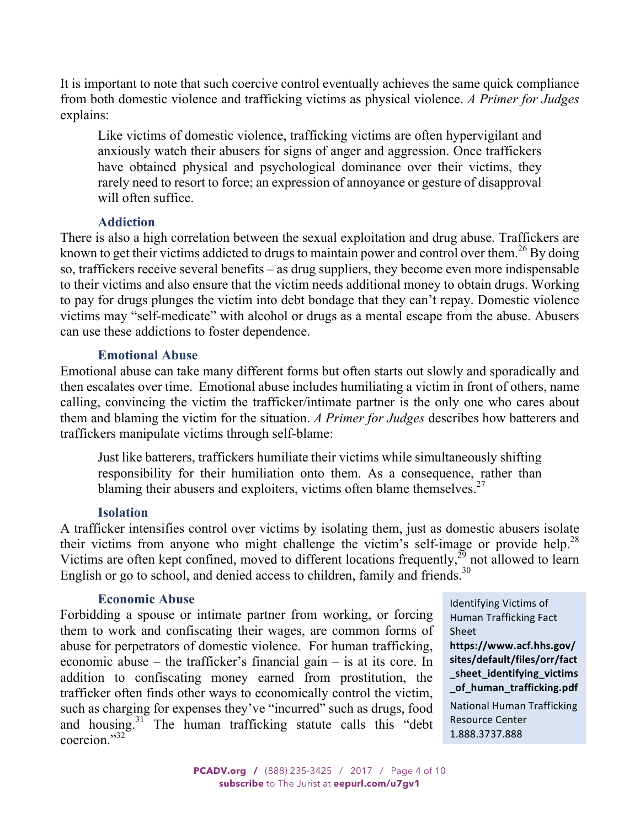It is important to note that such coercive control eventually achieves the same quick compliance from both domestic violence and trafficking victims as physical violence. *A Primer for Judges* explains:

Like victims of domestic violence, trafficking victims are often hypervigilant and anxiously watch their abusers for signs of anger and aggression. Once traffickers have obtained physical and psychological dominance over their victims, they rarely need to resort to force; an expression of annoyance or gesture of disapproval will often suffice

### **Addiction**

There is also a high correlation between the sexual exploitation and drug abuse. Traffickers are known to get their victims addicted to drugs to maintain power and control over them.<sup>26</sup> By doing so, traffickers receive several benefits – as drug suppliers, they become even more indispensable to their victims and also ensure that the victim needs additional money to obtain drugs. Working to pay for drugs plunges the victim into debt bondage that they can't repay. Domestic violence victims may "self-medicate" with alcohol or drugs as a mental escape from the abuse. Abusers can use these addictions to foster dependence.

### **Emotional Abuse**

Emotional abuse can take many different forms but often starts out slowly and sporadically and then escalates over time. Emotional abuse includes humiliating a victim in front of others, name calling, convincing the victim the trafficker/intimate partner is the only one who cares about them and blaming the victim for the situation. *A Primer for Judges* describes how batterers and traffickers manipulate victims through self-blame:

Just like batterers, traffickers humiliate their victims while simultaneously shifting responsibility for their humiliation onto them. As a consequence, rather than blaming their abusers and exploiters, victims often blame themselves.<sup>27</sup>

# **Isolation**

A trafficker intensifies control over victims by isolating them, just as domestic abusers isolate their victims from anyone who might challenge the victim's self-image or provide help.<sup>28</sup> Victims are often kept confined, moved to different locations frequently, $^{29}$  not allowed to learn English or go to school, and denied access to children, family and friends.<sup>30</sup>

### **Economic Abuse**

Forbidding a spouse or intimate partner from working, or forcing them to work and confiscating their wages, are common forms of abuse for perpetrators of domestic violence. For human trafficking, economic abuse – the trafficker's financial gain – is at its core. In addition to confiscating money earned from prostitution, the trafficker often finds other ways to economically control the victim, such as charging for expenses they've "incurred" such as drugs, food and housing.<sup>31</sup> The human trafficking statute calls this "debt" coercion $^{32}$ 

Identifying Victims of Human Trafficking Fact Sheet 

**https://www.acf.hhs.gov/ sites/default/files/orr/fact [\\_sheet\\_identifying\\_victims](https://www.acf.hhs.gov/sites/default/files/orr/fact_sheet_identifying_victims_of_human_trafficking.pdf) \_of\_human\_trafficking.pdf**

National Human Trafficking Resource Center 1.888.3737.888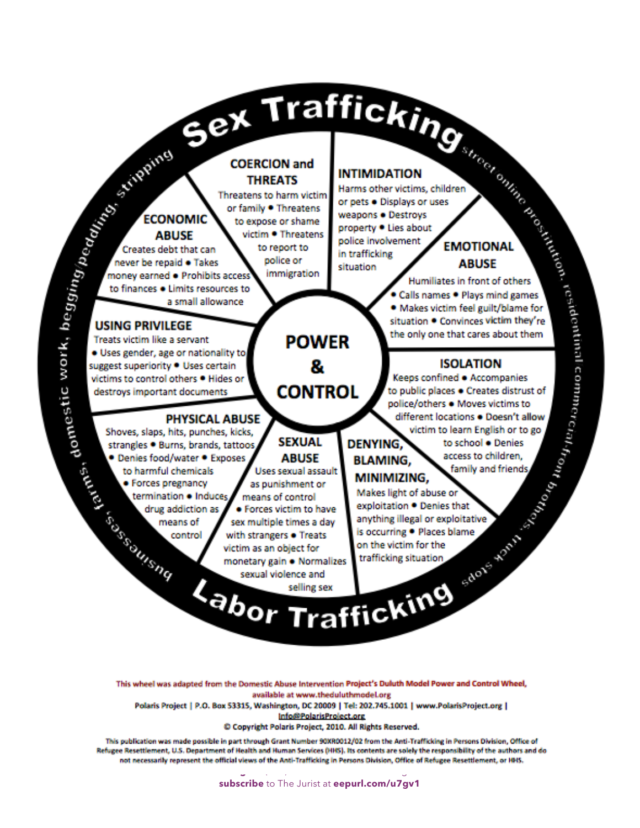rains domestic w

EXAMPLE TRANSFORM TRANSFORM INTERNAST CONTROL INTERNAST AND CONTROL INTERNAST AND CONTROL INTERNAST AND CONTROL INTERNAST AND CONTROL INTERNAST AND CONTROL INTERNAST AND CONTROL INTERNAST AND CONTROL INTERNAST AND CONTROL

This wheel was adapted from the Domestic Abuse Intervention Project's Duluth Model Power and Control Wheel, available at www.theduluthmodel.org

Polaris Project | P.O. Box 53315, Washington, DC 20009 | Tel: 202.745.1001 | www.PolarisProject.org | Info@PolarisProject.org

© Copyright Polaris Project, 2010. All Rights Reserved.

This publication was made possible in part through Grant Number 90XR0012/02 from the Anti-Trafficking in Persons Division, Office of Refugee Resettlement, U.S. Department of Health and Human Services (HHS). Its contents are solely the responsibility of the authors and do not necessarily represent the official views of the Anti-Trafficking in Persons Division, Office of Refugee Resettlement, or HHS.

> .<br>PCADV.org / **235-3425 / 235-3425 / 2017 / Page 5 of 10 subscribe** to The Jurist at **<eepurl.com/u7gv1>**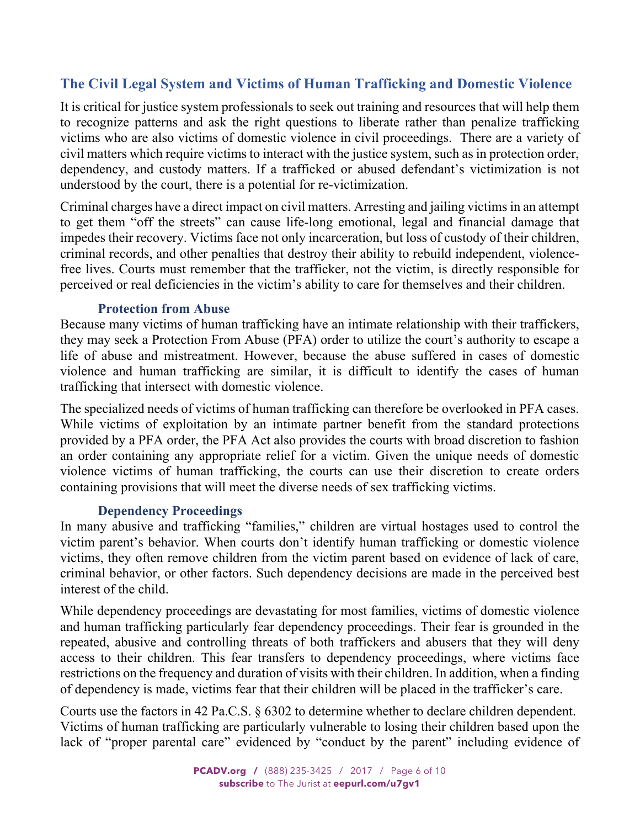# <span id="page-5-0"></span>**The Civil Legal System and Victims of Human Trafficking and Domestic Violence**

It is critical for justice system professionals to seek out training and resources that will help them to recognize patterns and ask the right questions to liberate rather than penalize trafficking victims who are also victims of domestic violence in civil proceedings. There are a variety of civil matters which require victims to interact with the justice system, such as in protection order, dependency, and custody matters. If a trafficked or abused defendant's victimization is not understood by the court, there is a potential for re-victimization.

Criminal charges have a direct impact on civil matters. Arresting and jailing victims in an attempt to get them "off the streets" can cause life-long emotional, legal and financial damage that impedes their recovery. Victims face not only incarceration, but loss of custody of their children, criminal records, and other penalties that destroy their ability to rebuild independent, violencefree lives. Courts must remember that the trafficker, not the victim, is directly responsible for perceived or real deficiencies in the victim's ability to care for themselves and their children.

### **Protection from Abuse**

Because many victims of human trafficking have an intimate relationship with their traffickers, they may seek a Protection From Abuse (PFA) order to utilize the court's authority to escape a life of abuse and mistreatment. However, because the abuse suffered in cases of domestic violence and human trafficking are similar, it is difficult to identify the cases of human trafficking that intersect with domestic violence.

The specialized needs of victims of human trafficking can therefore be overlooked in PFA cases. While victims of exploitation by an intimate partner benefit from the standard protections provided by a PFA order, the PFA Act also provides the courts with broad discretion to fashion an order containing any appropriate relief for a victim. Given the unique needs of domestic violence victims of human trafficking, the courts can use their discretion to create orders containing provisions that will meet the diverse needs of sex trafficking victims.

### **Dependency Proceedings**

In many abusive and trafficking "families," children are virtual hostages used to control the victim parent's behavior. When courts don't identify human trafficking or domestic violence victims, they often remove children from the victim parent based on evidence of lack of care, criminal behavior, or other factors. Such dependency decisions are made in the perceived best interest of the child.

While dependency proceedings are devastating for most families, victims of domestic violence and human trafficking particularly fear dependency proceedings. Their fear is grounded in the repeated, abusive and controlling threats of both traffickers and abusers that they will deny access to their children. This fear transfers to dependency proceedings, where victims face restrictions on the frequency and duration of visits with their children. In addition, when a finding of dependency is made, victims fear that their children will be placed in the trafficker's care.

Courts use the factors in 42 Pa.C.S. § 6302 to determine whether to declare children dependent. Victims of human trafficking are particularly vulnerable to losing their children based upon the lack of "proper parental care" evidenced by "conduct by the parent" including evidence of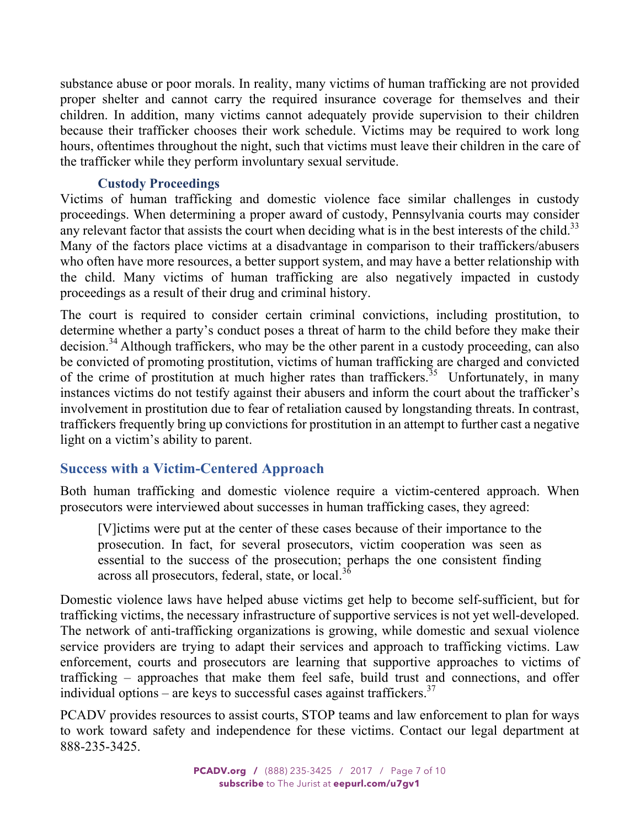<span id="page-6-0"></span>substance abuse or poor morals. In reality, many victims of human trafficking are not provided proper shelter and cannot carry the required insurance coverage for themselves and their children. In addition, many victims cannot adequately provide supervision to their children because their trafficker chooses their work schedule. Victims may be required to work long hours, oftentimes throughout the night, such that victims must leave their children in the care of the trafficker while they perform involuntary sexual servitude.

### **Custody Proceedings**

Victims of human trafficking and domestic violence face similar challenges in custody proceedings. When determining a proper award of custody, Pennsylvania courts may consider any relevant factor that assists the court when deciding what is in the best interests of the child.<sup>33</sup> Many of the factors place victims at a disadvantage in comparison to their traffickers/abusers who often have more resources, a better support system, and may have a better relationship with the child. Many victims of human trafficking are also negatively impacted in custody proceedings as a result of their drug and criminal history.

The court is required to consider certain criminal convictions, including prostitution, to determine whether a party's conduct poses a threat of harm to the child before they make their decision.<sup>34</sup> Although traffickers, who may be the other parent in a custody proceeding, can also be convicted of promoting prostitution, victims of human trafficking are charged and convicted of the crime of prostitution at much higher rates than traffickers.<sup>35</sup> Unfortunately, in many instances victims do not testify against their abusers and inform the court about the trafficker's involvement in prostitution due to fear of retaliation caused by longstanding threats. In contrast, traffickers frequently bring up convictions for prostitution in an attempt to further cast a negative light on a victim's ability to parent.

# **Success with a Victim-Centered Approach**

Both human trafficking and domestic violence require a victim-centered approach. When prosecutors were interviewed about successes in human trafficking cases, they agreed:

[V]ictims were put at the center of these cases because of their importance to the prosecution. In fact, for several prosecutors, victim cooperation was seen as essential to the success of the prosecution; perhaps the one consistent finding across all prosecutors, federal, state, or local.<sup>36</sup>

Domestic violence laws have helped abuse victims get help to become self-sufficient, but for trafficking victims, the necessary infrastructure of supportive services is not yet well-developed. The network of anti-trafficking organizations is growing, while domestic and sexual violence service providers are trying to adapt their services and approach to trafficking victims. Law enforcement, courts and prosecutors are learning that supportive approaches to victims of trafficking – approaches that make them feel safe, build trust and connections, and offer individual options – are keys to successful cases against traffickers.<sup>37</sup>

PCADV provides resources to assist courts, STOP teams and law enforcement to plan for ways to work toward safety and independence for these victims. Contact our legal department at 888-235-3425.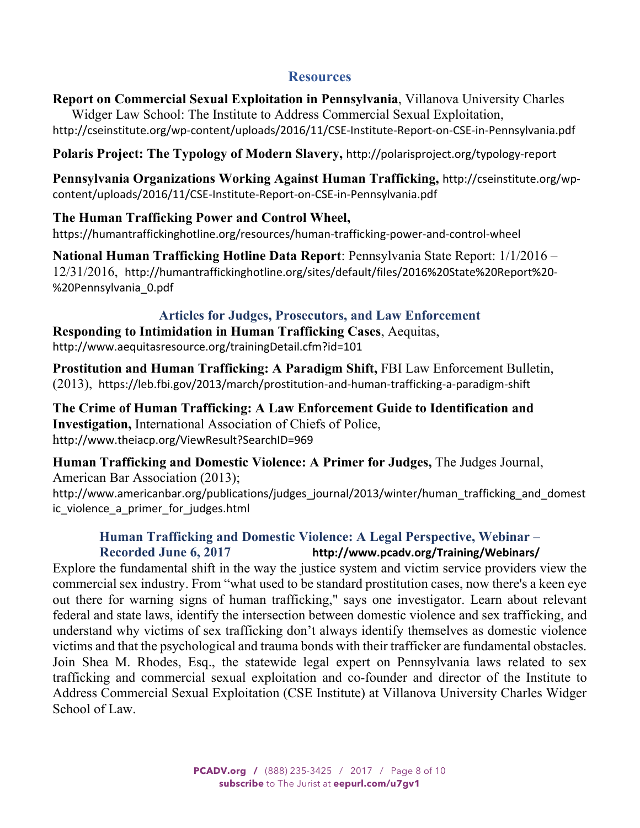### **Resources**

<span id="page-7-0"></span>**Report on Commercial Sexual Exploitation in Pennsylvania**, Villanova University Charles Widger Law School: The Institute to Address Commercial Sexual Exploitation, <http://cseinstitute.org/wp-content/uploads/2016/11/CSE-Institute-Report-on-CSE-in-Pennsylvania.pdf>

**Polaris Project: The Typology of Modern Slavery,** <http://polarisproject.org/typology-report>

**[Pennsylvania Organizations Working Against Human Trafficking,](http://cseinstitute.org/wp-content/uploads/2016/11/CSE-Institute-Report-on-CSE-in-Pennsylvania.pdf)** http://cseinstitute.org/wpcontent/uploads/2016/11/CSE-Institute-Report-on-CSE-in-Pennsylvania.pdf

### **The Human Trafficking Power and Control Wheel,**

h[ttps://humantraffickinghotline.org/resources/human-trafficking-power-and-control-wheel](https://humantraffickinghotline.org/resources/human-trafficking-power-and-control-wheel)

**National Human Trafficking Hotline Data Report**: Pennsylvania State Report: 1/1/2016 – 12/31/2016, [http://humantraffickinghotline.org/sites/default/files/2016%20State%20Report%20-](http://humantraffickinghotline.org/sites/default/files/2016%20State%20Report%20-%20Pennsylvania_0.pdf) %20Pennsylvania\_0.pdf

### **Articles for Judges, Prosecutors, and Law Enforcement**

**Responding to Intimidation in Human Trafficking Cases**, Aequitas, <http://www.aequitasresource.org/trainingDetail.cfm?id=101>

**Prostitution and Human Trafficking: A Paradigm Shift,** FBI Law Enforcement Bulletin, (2013), https://leb.fbi.gov/2013/march/prostitution-and-human-trafficking-a-paradigm-shift

**The Crime of Human Trafficking: A Law Enforcement Guide to Identification and Investigation,** [International Association of Chiefs of Po](http://www.theiacp.org/portals/0/pdfs/CompleteHTGuide.pdf)lice, http://www.theiacp.org/ViewResult?SearchID=969

**Human Trafficking and Domestic Violence: A Primer for Judges,** The Judges Journal, American Bar Association (2013);

[http://www.americanbar.org/publications/judges\\_journal/2013/winter/human\\_trafficking\\_and\\_domest](http://www.americanbar.org/publications/judges_journal/2013/winter/human_trafficking_and_domestic_violence_a_primer_for_judges.html) ic\_violence\_a\_primer\_for\_judges.html

# **Human Trafficking and Domestic Violence: A Legal Perspective, Webinar – Recorded June 6, 2017 http://www.pcadv.org/Training/Webinars/**

Explor[e the fundamental shift in the way the justice system and victim service providers view](http://www.pcadv.org/Training/Webinars/) the commercial sex industry. From "what used to be standard prostitution cases, now there's a keen eye out there for warning signs of human trafficking," says one investigator. Learn about relevant federal and state laws, identify the intersection between domestic violence and sex trafficking, and understand why victims of sex trafficking don't always identify themselves as domestic violence victims and that the psychological and trauma bonds with their trafficker are fundamental obstacles. Join Shea M. Rhodes, Esq., the statewide legal expert on Pennsylvania laws related to sex trafficking and commercial sexual exploitation and co-founder and director of the Institute to Address Commercial Sexual Exploitation (CSE Institute) at Villanova University Charles Widger School of Law.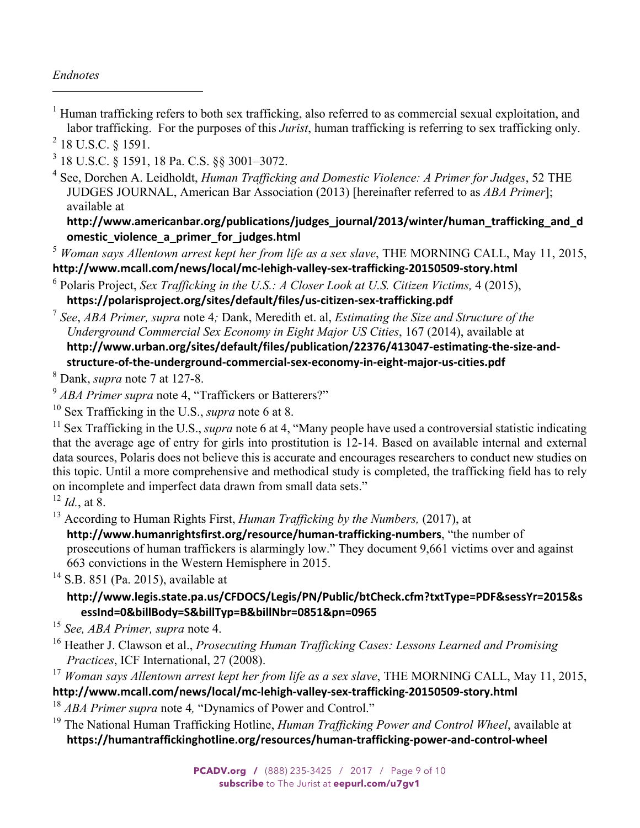### *Endnotes*

 $\overline{a}$ 

<sup>1</sup> Human trafficking refers to both sex trafficking, also referred to as commercial sexual exploitation, and labor trafficking. For the purposes of this *Jurist*, human trafficking is referring to sex trafficking only.

 $^{2}$  18 U.S.C. § 1591.

3 18 U.S.C. § 1591, 18 Pa. C.S. §§ 3001–3072.

4 See, Dorchen A. Leidholdt, *Human Trafficking and Domestic Violence: A Primer for Judges*, 52 THE JUDGES JOURNAL, American Bar Association (2013) [hereinafter referred to as *ABA Primer*]; available at

**[http://www.americanbar.org/publications/judges\\_journal/2013/winter/human\\_trafficking\\_and\\_d](http://www.americanbar.org/publications/judges_journal/2013/winter/human_trafficking_and_domestic_violence_a_primer_for_judges.html) omestic\_violence\_a\_primer\_for\_judges.html**

<sup>5</sup> *Woman says Allentown arrest kept her from life as a sex slave*, THE MORNING CALL, May 11, 2015, **<http://www.mcall.com/news/local/mc-lehigh-valley-sex-trafficking-20150509-story.html>**

6 Polaris Project, *Sex Trafficking in the U.S.: A Closer Look at U.S. Citizen Victims,* 4 (2015), **<https://polarisproject.org/sites/default/files/us-citizen-sex-trafficking.pdf>**

<sup>7</sup> *See*, *ABA Primer, supra* note 4*;* Dank, Meredith et. al, *Estimating the Size and Structure of the Underground Commercial Sex Economy in Eight Major US Cities*, 167 (2014), available at **[http://www.urban.org/sites/default/files/publication/22376/413047-estimating-the-size-and](http://www.urban.org/sites/default/files/publication/22376/413047-estimating-the-size-and-structure-of-the-underground-commercial-sex-economy-in-eight-major-us-cities.pdf)structure-of-the-underground-commercial-sex-economy-in-eight-major-us-cities.pdf** 8

Dank, *supra* note 7 at 127-8.

<sup>9</sup> *ABA Primer supra* note 4, "Traffickers or Batterers?"

10 Sex Trafficking in the U.S., *supra* note 6 at 8.

<sup>11</sup> Sex Trafficking in the U.S., *supra* note 6 at 4, "Many people have used a controversial statistic indicating that the average age of entry for girls into prostitution is 12-14. Based on available internal and external data sources, Polaris does not believe this is accurate and encourages researchers to conduct new studies on this topic. Until a more comprehensive and methodical study is completed, the trafficking field has to rely on incomplete and imperfect data drawn from small data sets."

<sup>12</sup> *Id.*, at 8.

13 According to Human Rights First, *Human Trafficking by the Numbers,* (2017), at

**<http://www.humanrightsfirst.org/resource/human-trafficking-numbers>**, "the number of prosecutions of human traffickers is alarmingly low." They document 9,661 victims over and against 663 convictions in the Western Hemisphere in 2015.

<sup>14</sup> S.B. 851 (Pa. 2015), available at

### **[http://www.legis.state.pa.us/CFDOCS/Legis/PN/Public/btCheck.cfm?txtType=PDF&sessYr=2015&s](http://www.legis.state.pa.us/CFDOCS/Legis/PN/Public/btCheck.cfm?txtType=PDF&sessYr=2015&sessInd=0&billBody=S&billTyp=B&billNbr=0851&pn=0965) essInd=0&billBody=S&billTyp=B&billNbr=0851&pn=0965**

<sup>15</sup> *See, ABA Primer, supra* note 4.

16 Heather J. Clawson et al., *Prosecuting Human Trafficking Cases: Lessons Learned and Promising Practices*, ICF International, 27 (2008).

<sup>17</sup> *Woman says Allentown arrest kept her from life as a sex slave*, THE MORNING CALL, May 11, 2015, **<http://www.mcall.com/news/local/mc-lehigh-valley-sex-trafficking-20150509-story.html>**

<sup>18</sup> *ABA Primer supra* note 4*,* "Dynamics of Power and Control."

19 The National Human Trafficking Hotline, *Human Trafficking Power and Control Wheel*, available at **<https://humantraffickinghotline.org/resources/human-trafficking-power-and-control-wheel>**